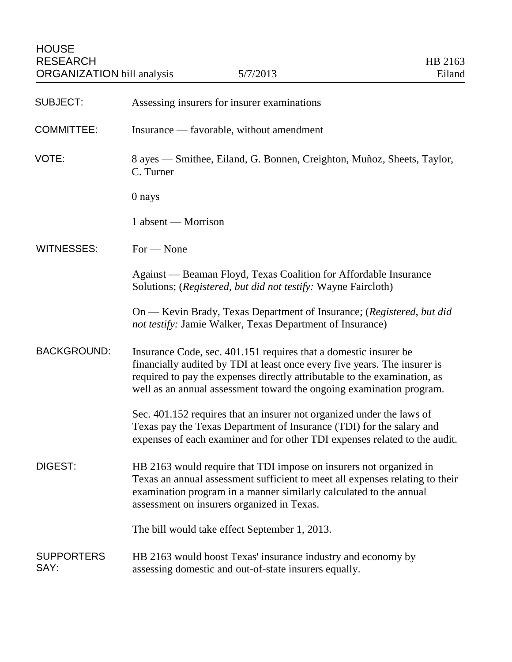| <b>SUBJECT:</b>           | Assessing insurers for insurer examinations                                                                                                                                                                                                                                                        |
|---------------------------|----------------------------------------------------------------------------------------------------------------------------------------------------------------------------------------------------------------------------------------------------------------------------------------------------|
| <b>COMMITTEE:</b>         | Insurance — favorable, without amendment                                                                                                                                                                                                                                                           |
| VOTE:                     | 8 ayes — Smithee, Eiland, G. Bonnen, Creighton, Muñoz, Sheets, Taylor,<br>C. Turner                                                                                                                                                                                                                |
|                           | 0 nays                                                                                                                                                                                                                                                                                             |
|                           | 1 absent - Morrison                                                                                                                                                                                                                                                                                |
| <b>WITNESSES:</b>         | $For - None$                                                                                                                                                                                                                                                                                       |
|                           | Against — Beaman Floyd, Texas Coalition for Affordable Insurance<br>Solutions; (Registered, but did not testify: Wayne Faircloth)                                                                                                                                                                  |
|                           | On — Kevin Brady, Texas Department of Insurance; (Registered, but did<br>not testify: Jamie Walker, Texas Department of Insurance)                                                                                                                                                                 |
| <b>BACKGROUND:</b>        | Insurance Code, sec. 401.151 requires that a domestic insurer be<br>financially audited by TDI at least once every five years. The insurer is<br>required to pay the expenses directly attributable to the examination, as<br>well as an annual assessment toward the ongoing examination program. |
|                           | Sec. 401.152 requires that an insurer not organized under the laws of<br>Texas pay the Texas Department of Insurance (TDI) for the salary and<br>expenses of each examiner and for other TDI expenses related to the audit.                                                                        |
| DIGEST:                   | HB 2163 would require that TDI impose on insurers not organized in<br>Texas an annual assessment sufficient to meet all expenses relating to their<br>examination program in a manner similarly calculated to the annual<br>assessment on insurers organized in Texas.                             |
|                           | The bill would take effect September 1, 2013.                                                                                                                                                                                                                                                      |
| <b>SUPPORTERS</b><br>SAY: | HB 2163 would boost Texas' insurance industry and economy by<br>assessing domestic and out-of-state insurers equally.                                                                                                                                                                              |